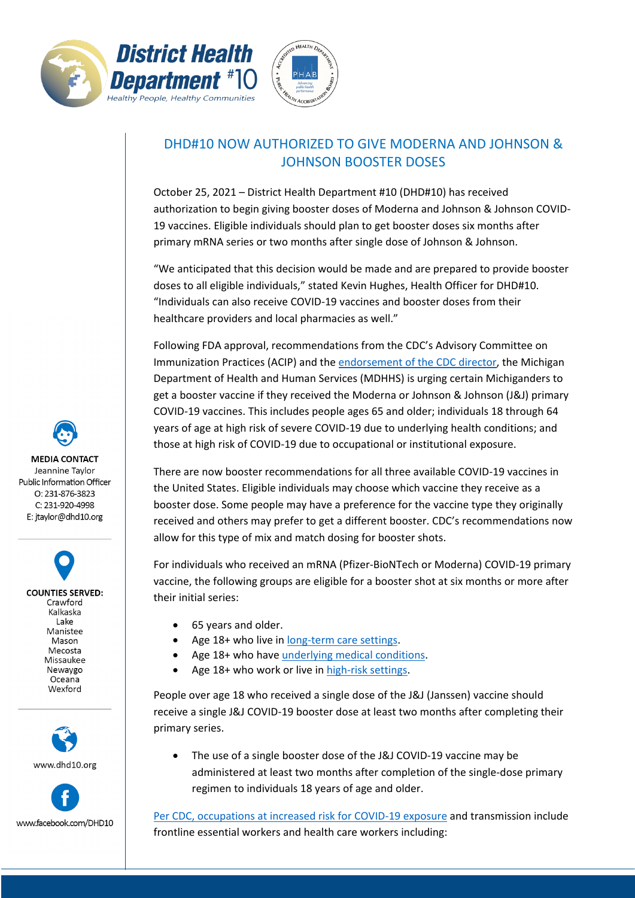



## DHD#10 NOW AUTHORIZED TO GIVE MODERNA AND JOHNSON & JOHNSON BOOSTER DOSES

October 25, 2021 – District Health Department #10 (DHD#10) has received authorization to begin giving booster doses of Moderna and Johnson & Johnson COVID-19 vaccines. Eligible individuals should plan to get booster doses six months after primary mRNA series or two months after single dose of Johnson & Johnson.

"We anticipated that this decision would be made and are prepared to provide booster doses to all eligible individuals," stated Kevin Hughes, Health Officer for DHD#10. "Individuals can also receive COVID-19 vaccines and booster doses from their healthcare providers and local pharmacies as well."

Following FDA approval, recommendations from the CDC's Advisory Committee on Immunization Practices (ACIP) and the [endorsement of the CDC director,](https://www.cdc.gov/media/releases/2021/p1021-covid-booster.html) the Michigan Department of Health and Human Services (MDHHS) is urging certain Michiganders to get a booster vaccine if they received the Moderna or Johnson & Johnson (J&J) primary COVID-19 vaccines. This includes people ages 65 and older; individuals 18 through 64 years of age at high risk of severe COVID-19 due to underlying health conditions; and those at high risk of COVID-19 due to occupational or institutional exposure.

There are now booster recommendations for all three available COVID-19 vaccines in the United States. Eligible individuals may choose which vaccine they receive as a booster dose. Some people may have a preference for the vaccine type they originally received and others may prefer to get a different booster. CDC's recommendations now allow for this type of mix and match dosing for booster shots.

For individuals who received an mRNA (Pfizer-BioNTech or Moderna) COVID-19 primary vaccine, the following groups are eligible for a booster shot at six months or more after their initial series:

- 65 years and older.
- Age 18+ who live in [long-term care settings.](https://www.cdc.gov/coronavirus/2019-ncov/vaccines/booster-shot.html)
- Age 18+ who hav[e underlying medical conditions.](https://www.cdc.gov/coronavirus/2019-ncov/need-extra-precautions/people-with-medical-conditions.html)
- Age 18+ who work or live in [high-risk settings.](https://www.cdc.gov/coronavirus/2019-ncov/vaccines/booster-shot.html#HighRisk)

People over age 18 who received a single dose of the J&J (Janssen) vaccine should receive a single J&J COVID-19 booster dose at least two months after completing their primary series.

The use of a single booster dose of the J&J COVID-19 vaccine may be administered at least two months after completion of the single-dose primary regimen to individuals 18 years of age and older.

[Per CDC, occupations at increased risk for COVID-19 exposure](https://www.cdc.gov/coronavirus/2019-ncov/vaccines/booster-shot.html) and transmission include frontline essential workers and health care workers including:

**MEDIA CONTACT** Jeannine Taylor Public Information Officer  $O: 231 - 876 - 3823$ C: 231-920-4998 E: jtaylor@dhd10.org

**COUNTIES SERVED:** Crawford Kalkaska Lake Manistee Mason Mecosta Missaukee Newaygo Oceana Wexford



www.facebook.com/DHD10